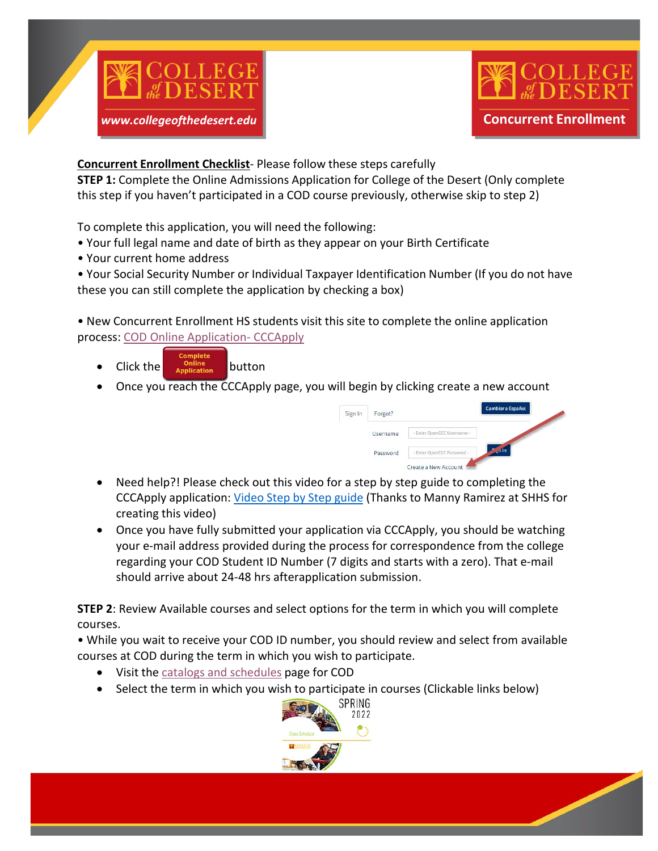



**Concurrent Enrollment Checklist**- Please follow these steps carefully

**STEP 1:** Complete the Online Admissions Application for College of the Desert (Only complete this step if you haven't participated in a COD course previously, otherwise skip to step 2)

To complete this application, you will need the following:

- Your full legal name and date of birth as they appear on your Birth Certificate
- Your current home address

• Your Social Security Number or Individual Taxpayer Identification Number (If you do not have these you can still complete the application by checking a box)

• New Concurrent Enrollment HS students visit this site to complete the online application process: COD [Online Application-](https://www.collegeofthedesert.edu/students/admissions/getting-started/online-application.php) CCCApply

- Click the **particular click** the button
- Once you reach the CCCApply page, you will begin by clicking create a new account



- Need help?! Please check out this video for a step by step guide to completing the CCCApply application: [Video](https://youtu.be/jH4XA1CMj9k) Step by Step guide (Thanks to Manny Ramirez at SHHS for creating this video)
- Once you have fully submitted your application via CCCApply, you should be watching your e-mail address provided during the process for correspondence from the college regarding your COD Student ID Number (7 digits and starts with a zero). That e-mail should arrive about 24-48 hrs afterapplication submission.

**STEP 2**: Review Available courses and select options for the term in which you will complete courses.

• While you wait to receive your COD ID number, you should review and select from available courses at COD during the term in which you wish to participate.

- Visit the catalogs and [schedules](https://www.collegeofthedesert.edu/students/catalog-schedule/default.php) page for COD
- Select the term in which you wish to participate in courses (Clickable links below)

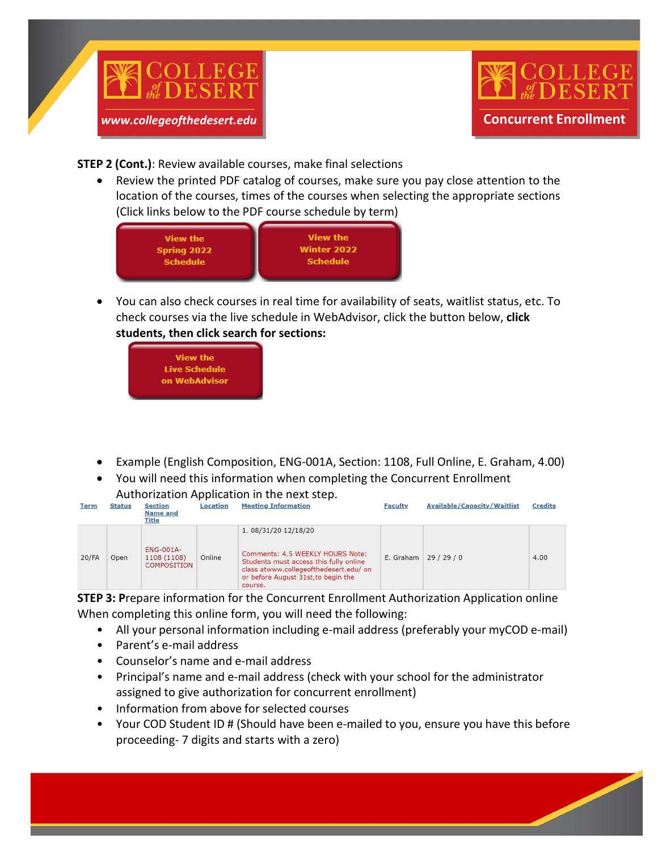



**STEP 2 (Cont.)**: Review available courses, make final selections

• Review the printed PDF catalog of courses, make sure you pay close attention to the location of the courses, times of the courses when selecting the appropriate sections (Click links below to the PDF course schedule by term)



• You can also check courses in real time for availability of seats, waitlist status, etc. To check courses via the live schedule in WebAdvisor, click the button below, **click students, then click search for sections:**



- Example (English Composition, ENG-001A, Section: 1108, Full Online, E. Graham, 4.00)
- You will need this information when completing the Concurrent Enrollment Authorization Application in the next step.

| <b>Term</b> | <b>Status</b> | <b>Section</b><br><b>Name and</b><br>Title            | Location | <b>Meeting Information</b>                                                                                                                                                                     | <b>Faculty</b> | <b>Available/Capacity/Waitlist</b> | <b>Credits</b> |
|-------------|---------------|-------------------------------------------------------|----------|------------------------------------------------------------------------------------------------------------------------------------------------------------------------------------------------|----------------|------------------------------------|----------------|
| $20$ /FA    | Open          | <b>ENG-001A-</b><br>1108 (1108)<br><b>COMPOSITION</b> | Online   | 1. 08/31/20 12/18/20<br>Comments: 4.5 WEEKLY HOURS Note:<br>Students must access this fully online<br>class atwww.collegeofthedesert.edu/ on<br>or before August 31st, to begin the<br>course. | E. Graham      | 29/29/0                            | 4.00           |

**STEP 3: P**repare information for the Concurrent Enrollment Authorization Application online When completing this online form, you will need the following:

- All your personal information including e-mail address (preferably your myCOD e-mail)
- Parent's e-mail address
- Counselor's name and e-mail address
- Principal's name and e-mail address (check with your school for the administrator assigned to give authorization for concurrent enrollment)
- Information from above for selected courses
- Your COD Student ID # (Should have been e-mailed to you, ensure you have this before proceeding- 7 digits and starts with a zero)